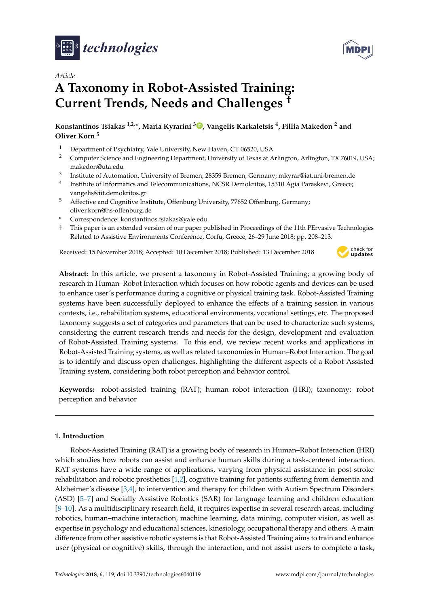

# *Article*

# **A Taxonomy in Robot-Assisted Training: Current Trends, Needs and Challenges †**

## **Konstantinos Tsiakas 1,2,\*, Maria Kyrarini <sup>3</sup> [,](https://orcid.org/0000-0003-0968-2477) Vangelis Karkaletsis <sup>4</sup> , Fillia Makedon <sup>2</sup> and Oliver Korn <sup>5</sup>**

- <sup>1</sup> Department of Psychiatry, Yale University, New Haven, CT 06520, USA<br><sup>2</sup> Commuter Science and Engineering Department, University of True at A
- <sup>2</sup> Computer Science and Engineering Department, University of Texas at Arlington, Arlington, TX 76019, USA; makedon@uta.edu
- 3 Institute of Automation, University of Bremen, 28359 Bremen, Germany; mkyrar@iat.uni-bremen.de
- 4 Institute of Informatics and Telecommunications, NCSR Demokritos, 15310 Agia Paraskevi, Greece; vangelis@iit.demokritos.gr
- <sup>5</sup> Affective and Cognitive Institute, Offenburg University, 77652 Offenburg, Germany; oliver.korn@hs-offenburg.de
- **\*** Correspondence: konstantinos.tsiakas@yale.edu
- † This paper is an extended version of our paper published in Proceedings of the 11th PErvasive Technologies Related to Assistive Environments Conference, Corfu, Greece, 26–29 June 2018; pp. 208–213.

Received: 15 November 2018; Accepted: 10 December 2018; Published: 13 December 2018



**Abstract:** In this article, we present a taxonomy in Robot-Assisted Training; a growing body of research in Human–Robot Interaction which focuses on how robotic agents and devices can be used to enhance user's performance during a cognitive or physical training task. Robot-Assisted Training systems have been successfully deployed to enhance the effects of a training session in various contexts, i.e., rehabilitation systems, educational environments, vocational settings, etc. The proposed taxonomy suggests a set of categories and parameters that can be used to characterize such systems, considering the current research trends and needs for the design, development and evaluation of Robot-Assisted Training systems. To this end, we review recent works and applications in Robot-Assisted Training systems, as well as related taxonomies in Human–Robot Interaction. The goal is to identify and discuss open challenges, highlighting the different aspects of a Robot-Assisted Training system, considering both robot perception and behavior control.

**Keywords:** robot-assisted training (RAT); human–robot interaction (HRI); taxonomy; robot perception and behavior

### **1. Introduction**

Robot-Assisted Training (RAT) is a growing body of research in Human–Robot Interaction (HRI) which studies how robots can assist and enhance human skills during a task-centered interaction. RAT systems have a wide range of applications, varying from physical assistance in post-stroke rehabilitation and robotic prosthetics [\[1](#page-14-0)[,2\]](#page-14-1), cognitive training for patients suffering from dementia and Alzheimer's disease [\[3](#page-14-2)[,4\]](#page-14-3), to intervention and therapy for children with Autism Spectrum Disorders (ASD) [\[5](#page-14-4)[–7\]](#page-14-5) and Socially Assistive Robotics (SAR) for language learning and children education [\[8–](#page-14-6)[10\]](#page-14-7). As a multidisciplinary research field, it requires expertise in several research areas, including robotics, human–machine interaction, machine learning, data mining, computer vision, as well as expertise in psychology and educational sciences, kinesiology, occupational therapy and others. A main difference from other assistive robotic systems is that Robot-Assisted Training aims to train and enhance user (physical or cognitive) skills, through the interaction, and not assist users to complete a task,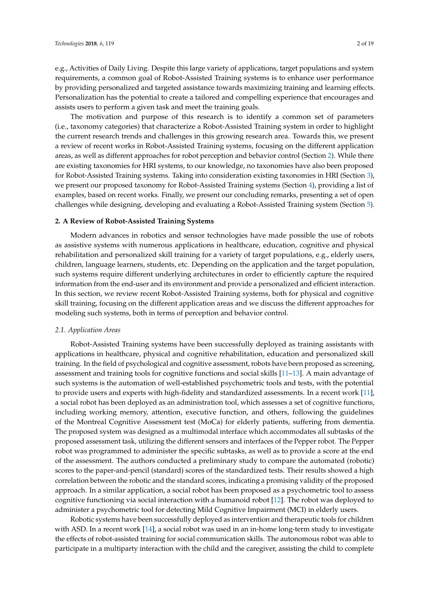e.g., Activities of Daily Living. Despite this large variety of applications, target populations and system requirements, a common goal of Robot-Assisted Training systems is to enhance user performance by providing personalized and targeted assistance towards maximizing training and learning effects. Personalization has the potential to create a tailored and compelling experience that encourages and assists users to perform a given task and meet the training goals.

The motivation and purpose of this research is to identify a common set of parameters (i.e., taxonomy categories) that characterize a Robot-Assisted Training system in order to highlight the current research trends and challenges in this growing research area. Towards this, we present a review of recent works in Robot-Assisted Training systems, focusing on the different application areas, as well as different approaches for robot perception and behavior control (Section [2\)](#page-1-0). While there are existing taxonomies for HRI systems, to our knowledge, no taxonomies have also been proposed for Robot-Assisted Training systems. Taking into consideration existing taxonomies in HRI (Section [3\)](#page-5-0), we present our proposed taxonomy for Robot-Assisted Training systems (Section [4\)](#page-6-0), providing a list of examples, based on recent works. Finally, we present our concluding remarks, presenting a set of open challenges while designing, developing and evaluating a Robot-Assisted Training system (Section [5\)](#page-12-0).

#### <span id="page-1-0"></span>**2. A Review of Robot-Assisted Training Systems**

Modern advances in robotics and sensor technologies have made possible the use of robots as assistive systems with numerous applications in healthcare, education, cognitive and physical rehabilitation and personalized skill training for a variety of target populations, e.g., elderly users, children, language learners, students, etc. Depending on the application and the target population, such systems require different underlying architectures in order to efficiently capture the required information from the end-user and its environment and provide a personalized and efficient interaction. In this section, we review recent Robot-Assisted Training systems, both for physical and cognitive skill training, focusing on the different application areas and we discuss the different approaches for modeling such systems, both in terms of perception and behavior control.

#### *2.1. Application Areas*

Robot-Assisted Training systems have been successfully deployed as training assistants with applications in healthcare, physical and cognitive rehabilitation, education and personalized skill training. In the field of psychological and cognitive assessment, robots have been proposed as screening, assessment and training tools for cognitive functions and social skills [\[11–](#page-14-8)[13\]](#page-14-9). A main advantage of such systems is the automation of well-established psychometric tools and tests, with the potential to provide users and experts with high-fidelity and standardized assessments. In a recent work [\[11\]](#page-14-8), a social robot has been deployed as an administration tool, which assesses a set of cognitive functions, including working memory, attention, executive function, and others, following the guidelines of the Montreal Cognitive Assessment test (MoCa) for elderly patients, suffering from dementia. The proposed system was designed as a multimodal interface which accommodates all subtasks of the proposed assessment task, utilizing the different sensors and interfaces of the Pepper robot. The Pepper robot was programmed to administer the specific subtasks, as well as to provide a score at the end of the assessment. The authors conducted a preliminary study to compare the automated (robotic) scores to the paper-and-pencil (standard) scores of the standardized tests. Their results showed a high correlation between the robotic and the standard scores, indicating a promising validity of the proposed approach. In a similar application, a social robot has been proposed as a psychometric tool to assess cognitive functioning via social interaction with a humanoid robot [\[12\]](#page-14-10). The robot was deployed to administer a psychometric tool for detecting Mild Cognitive Impairment (MCI) in elderly users.

Robotic systems have been successfully deployed as intervention and therapeutic tools for children with ASD. In a recent work [\[14\]](#page-14-11), a social robot was used in an in-home long-term study to investigate the effects of robot-assisted training for social communication skills. The autonomous robot was able to participate in a multiparty interaction with the child and the caregiver, assisting the child to complete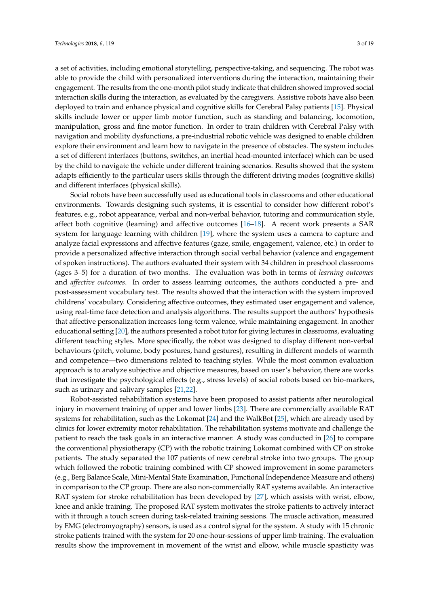and different interfaces (physical skills).

a set of activities, including emotional storytelling, perspective-taking, and sequencing. The robot was able to provide the child with personalized interventions during the interaction, maintaining their engagement. The results from the one-month pilot study indicate that children showed improved social interaction skills during the interaction, as evaluated by the caregivers. Assistive robots have also been deployed to train and enhance physical and cognitive skills for Cerebral Palsy patients [\[15\]](#page-14-12). Physical skills include lower or upper limb motor function, such as standing and balancing, locomotion, manipulation, gross and fine motor function. In order to train children with Cerebral Palsy with navigation and mobility dysfunctions, a pre-industrial robotic vehicle was designed to enable children explore their environment and learn how to navigate in the presence of obstacles. The system includes a set of different interfaces (buttons, switches, an inertial head-mounted interface) which can be used by the child to navigate the vehicle under different training scenarios. Results showed that the system adapts efficiently to the particular users skills through the different driving modes (cognitive skills)

Social robots have been successfully used as educational tools in classrooms and other educational environments. Towards designing such systems, it is essential to consider how different robot's features, e.g., robot appearance, verbal and non-verbal behavior, tutoring and communication style, affect both cognitive (learning) and affective outcomes [\[16–](#page-14-13)[18\]](#page-14-14). A recent work presents a SAR system for language learning with children [\[19\]](#page-15-0), where the system uses a camera to capture and analyze facial expressions and affective features (gaze, smile, engagement, valence, etc.) in order to provide a personalized affective interaction through social verbal behavior (valence and engagement of spoken instructions). The authors evaluated their system with 34 children in preschool classrooms (ages 3–5) for a duration of two months. The evaluation was both in terms of *learning outcomes* and *affective outcomes*. In order to assess learning outcomes, the authors conducted a pre- and post-assessment vocabulary test. The results showed that the interaction with the system improved childrens' vocabulary. Considering affective outcomes, they estimated user engagement and valence, using real-time face detection and analysis algorithms. The results support the authors' hypothesis that affective personalization increases long-term valence, while maintaining engagement. In another educational setting [\[20\]](#page-15-1), the authors presented a robot tutor for giving lectures in classrooms, evaluating different teaching styles. More specifically, the robot was designed to display different non-verbal behaviours (pitch, volume, body postures, hand gestures), resulting in different models of warmth and competence—two dimensions related to teaching styles. While the most common evaluation approach is to analyze subjective and objective measures, based on user's behavior, there are works that investigate the psychological effects (e.g., stress levels) of social robots based on bio-markers, such as urinary and salivary samples [\[21](#page-15-2)[,22\]](#page-15-3).

Robot-assisted rehabilitation systems have been proposed to assist patients after neurological injury in movement training of upper and lower limbs [\[23\]](#page-15-4). There are commercially available RAT systems for rehabilitation, such as the Lokomat [\[24\]](#page-15-5) and the WalkBot [\[25\]](#page-15-6), which are already used by clinics for lower extremity motor rehabilitation. The rehabilitation systems motivate and challenge the patient to reach the task goals in an interactive manner. A study was conducted in [\[26\]](#page-15-7) to compare the conventional physiotherapy (CP) with the robotic training Lokomat combined with CP on stroke patients. The study separated the 107 patients of new cerebral stroke into two groups. The group which followed the robotic training combined with CP showed improvement in some parameters (e.g., Berg Balance Scale, Mini-Mental State Examination, Functional Independence Measure and others) in comparison to the CP group. There are also non-commercially RAT systems available. An interactive RAT system for stroke rehabilitation has been developed by [\[27\]](#page-15-8), which assists with wrist, elbow, knee and ankle training. The proposed RAT system motivates the stroke patients to actively interact with it through a touch screen during task-related training sessions. The muscle activation, measured by EMG (electromyography) sensors, is used as a control signal for the system. A study with 15 chronic stroke patients trained with the system for 20 one-hour-sessions of upper limb training. The evaluation results show the improvement in movement of the wrist and elbow, while muscle spasticity was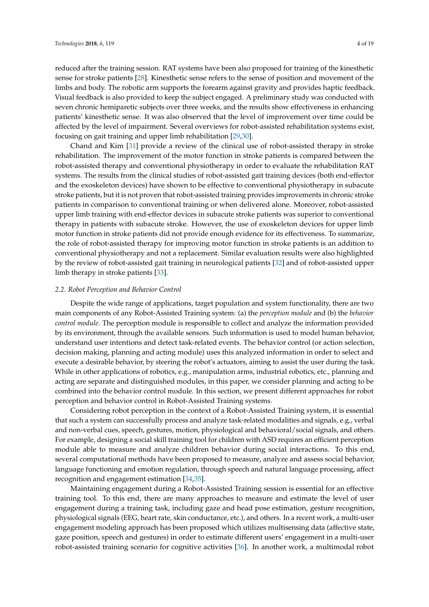reduced after the training session. RAT systems have been also proposed for training of the kinesthetic sense for stroke patients [\[28\]](#page-15-9). Kinesthetic sense refers to the sense of position and movement of the limbs and body. The robotic arm supports the forearm against gravity and provides haptic feedback. Visual feedback is also provided to keep the subject engaged. A preliminary study was conducted with seven chronic hemiparetic subjects over three weeks, and the results show effectiveness in enhancing patients' kinesthetic sense. It was also observed that the level of improvement over time could be affected by the level of impairment. Several overviews for robot-assisted rehabilitation systems exist, focusing on gait training and upper limb rehabilitation [\[29,](#page-15-10)[30\]](#page-15-11).

Chand and Kim [\[31\]](#page-15-12) provide a review of the clinical use of robot-assisted therapy in stroke rehabilitation. The improvement of the motor function in stroke patients is compared between the robot-assisted therapy and conventional physiotherapy in order to evaluate the rehabilitation RAT systems. The results from the clinical studies of robot-assisted gait training devices (both end-effector and the exoskeleton devices) have shown to be effective to conventional physiotherapy in subacute stroke patients, but it is not proven that robot-assisted training provides improvements in chronic stroke patients in comparison to conventional training or when delivered alone. Moreover, robot-assisted upper limb training with end-effector devices in subacute stroke patients was superior to conventional therapy in patients with subacute stroke. However, the use of exoskeleton devices for upper limb motor function in stroke patients did not provide enough evidence for its effectiveness. To summarize, the role of robot-assisted therapy for improving motor function in stroke patients is an addition to conventional physiotherapy and not a replacement. Similar evaluation results were also highlighted by the review of robot-assisted gait training in neurological patients [\[32\]](#page-15-13) and of robot-assisted upper limb therapy in stroke patients [\[33\]](#page-15-14).

#### *2.2. Robot Perception and Behavior Control*

Despite the wide range of applications, target population and system functionality, there are two main components of any Robot-Assisted Training system: (a) the *perception module* and (b) the *behavior control module*. The perception module is responsible to collect and analyze the information provided by its environment, through the available sensors. Such information is used to model human behavior, understand user intentions and detect task-related events. The behavior control (or action selection, decision making, planning and acting module) uses this analyzed information in order to select and execute a desirable behavior, by steering the robot's actuators, aiming to assist the user during the task. While in other applications of robotics, e.g., manipulation arms, industrial robotics, etc., planning and acting are separate and distinguished modules, in this paper, we consider planning and acting to be combined into the behavior control module. In this section, we present different approaches for robot perception and behavior control in Robot-Assisted Training systems.

Considering robot perception in the context of a Robot-Assisted Training system, it is essential that such a system can successfully process and analyze task-related modalities and signals, e.g., verbal and non-verbal cues, speech, gestures, motion, physiological and behavioral/social signals, and others. For example, designing a social skill training tool for children with ASD requires an efficient perception module able to measure and analyze children behavior during social interactions. To this end, several computational methods have been proposed to measure, analyze and assess social behavior, language functioning and emotion regulation, through speech and natural language processing, affect recognition and engagement estimation [\[34](#page-15-15)[,35\]](#page-15-16).

Maintaining engagement during a Robot-Assisted Training session is essential for an effective training tool. To this end, there are many approaches to measure and estimate the level of user engagement during a training task, including gaze and head pose estimation, gesture recognition, physiological signals (EEG, heart rate, skin conductance, etc.), and others. In a recent work, a multi-user engagement modeling approach has been proposed which utilizes multisensing data (affective state, gaze position, speech and gestures) in order to estimate different users' engagement in a multi-user robot-assisted training scenario for cognitive activities [\[36\]](#page-15-17). In another work, a multimodal robot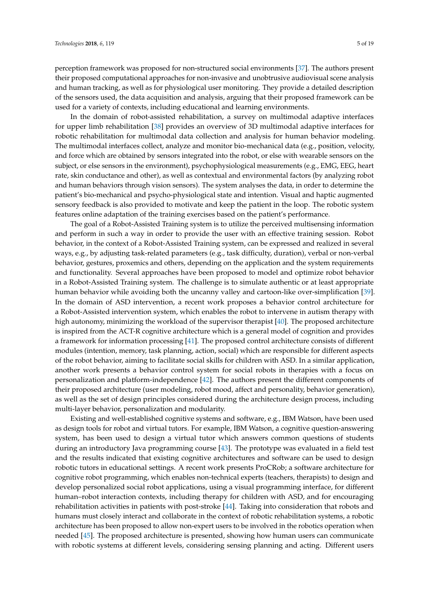perception framework was proposed for non-structured social environments [\[37\]](#page-15-18). The authors present their proposed computational approaches for non-invasive and unobtrusive audiovisual scene analysis and human tracking, as well as for physiological user monitoring. They provide a detailed description of the sensors used, the data acquisition and analysis, arguing that their proposed framework can be used for a variety of contexts, including educational and learning environments.

In the domain of robot-assisted rehabilitation, a survey on multimodal adaptive interfaces for upper limb rehabilitation [\[38\]](#page-16-0) provides an overview of 3D multimodal adaptive interfaces for robotic rehabilitation for multimodal data collection and analysis for human behavior modeling. The multimodal interfaces collect, analyze and monitor bio-mechanical data (e.g., position, velocity, and force which are obtained by sensors integrated into the robot, or else with wearable sensors on the subject, or else sensors in the environment), psychophysiological measurements (e.g., EMG, EEG, heart rate, skin conductance and other), as well as contextual and environmental factors (by analyzing robot and human behaviors through vision sensors). The system analyses the data, in order to determine the patient's bio-mechanical and psycho-physiological state and intention. Visual and haptic augmented sensory feedback is also provided to motivate and keep the patient in the loop. The robotic system features online adaptation of the training exercises based on the patient's performance.

The goal of a Robot-Assisted Training system is to utilize the perceived multisensing information and perform in such a way in order to provide the user with an effective training session. Robot behavior, in the context of a Robot-Assisted Training system, can be expressed and realized in several ways, e.g., by adjusting task-related parameters (e.g., task difficulty, duration), verbal or non-verbal behavior, gestures, proxemics and others, depending on the application and the system requirements and functionality. Several approaches have been proposed to model and optimize robot behavior in a Robot-Assisted Training system. The challenge is to simulate authentic or at least appropriate human behavior while avoiding both the uncanny valley and cartoon-like over-simplification [\[39\]](#page-16-1). In the domain of ASD intervention, a recent work proposes a behavior control architecture for a Robot-Assisted intervention system, which enables the robot to intervene in autism therapy with high autonomy, minimizing the workload of the supervisor therapist [\[40\]](#page-16-2). The proposed architecture is inspired from the ACT-R cognitive architecture which is a general model of cognition and provides a framework for information processing [\[41\]](#page-16-3). The proposed control architecture consists of different modules (intention, memory, task planning, action, social) which are responsible for different aspects of the robot behavior, aiming to facilitate social skills for children with ASD. In a similar application, another work presents a behavior control system for social robots in therapies with a focus on personalization and platform-independence [\[42\]](#page-16-4). The authors present the different components of their proposed architecture (user modeling, robot mood, affect and personality, behavior generation), as well as the set of design principles considered during the architecture design process, including multi-layer behavior, personalization and modularity.

Existing and well-established cognitive systems and software, e.g., IBM Watson, have been used as design tools for robot and virtual tutors. For example, IBM Watson, a cognitive question-answering system, has been used to design a virtual tutor which answers common questions of students during an introductory Java programming course [\[43\]](#page-16-5). The prototype was evaluated in a field test and the results indicated that existing cognitive architectures and software can be used to design robotic tutors in educational settings. A recent work presents ProCRob; a software architecture for cognitive robot programming, which enables non-technical experts (teachers, therapists) to design and develop personalized social robot applications, using a visual programming interface, for different human–robot interaction contexts, including therapy for children with ASD, and for encouraging rehabilitation activities in patients with post-stroke [\[44\]](#page-16-6). Taking into consideration that robots and humans must closely interact and collaborate in the context of robotic rehabilitation systems, a robotic architecture has been proposed to allow non-expert users to be involved in the robotics operation when needed [\[45\]](#page-16-7). The proposed architecture is presented, showing how human users can communicate with robotic systems at different levels, considering sensing planning and acting. Different users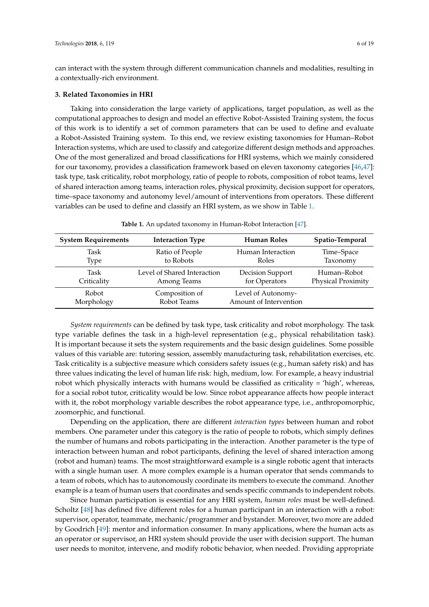can interact with the system through different communication channels and modalities, resulting in a contextually-rich environment.

#### <span id="page-5-0"></span>**3. Related Taxonomies in HRI**

Taking into consideration the large variety of applications, target population, as well as the computational approaches to design and model an effective Robot-Assisted Training system, the focus of this work is to identify a set of common parameters that can be used to define and evaluate a Robot-Assisted Training system. To this end, we review existing taxonomies for Human–Robot Interaction systems, which are used to classify and categorize different design methods and approaches. One of the most generalized and broad classifications for HRI systems, which we mainly considered for our taxonomy, provides a classification framework based on eleven taxonomy categories [\[46,](#page-16-8)[47\]](#page-16-9): task type, task criticality, robot morphology, ratio of people to robots, composition of robot teams, level of shared interaction among teams, interaction roles, physical proximity, decision support for operators, time–space taxonomy and autonomy level/amount of interventions from operators. These different variables can be used to define and classify an HRI system, as we show in Table [1.](#page-5-1)

<span id="page-5-1"></span>

| <b>System Requirements</b> | <b>Interaction Type</b>     | <b>Human Roles</b>     | Spatio-Temporal    |
|----------------------------|-----------------------------|------------------------|--------------------|
| Task                       | Ratio of People             | Human Interaction      | Time-Space         |
| Type                       | to Robots                   | Roles                  | Taxonomy           |
| Task                       | Level of Shared Interaction | Decision Support       | Human-Robot        |
| Criticality                | Among Teams                 | for Operators          | Physical Proximity |
| Robot                      | Composition of              | Level of Autonomy-     |                    |
| Morphology                 | Robot Teams                 | Amount of Intervention |                    |

**Table 1.** An updated taxonomy in Human-Robot Interaction [\[47\]](#page-16-9).

*System requirements* can be defined by task type, task criticality and robot morphology. The task type variable defines the task in a high-level representation (e.g., physical rehabilitation task). It is important because it sets the system requirements and the basic design guidelines. Some possible values of this variable are: tutoring session, assembly manufacturing task, rehabilitation exercises, etc. Task criticality is a subjective measure which considers safety issues (e.g., human safety risk) and has three values indicating the level of human life risk: high, medium, low. For example, a heavy industrial robot which physically interacts with humans would be classified as criticality = 'high', whereas, for a social robot tutor, criticality would be low. Since robot appearance affects how people interact with it, the robot morphology variable describes the robot appearance type, i.e., anthropomorphic, zoomorphic, and functional.

Depending on the application, there are different *interaction types* between human and robot members. One parameter under this category is the ratio of people to robots, which simply defines the number of humans and robots participating in the interaction. Another parameter is the type of interaction between human and robot participants, defining the level of shared interaction among (robot and human) teams. The most straightforward example is a single robotic agent that interacts with a single human user. A more complex example is a human operator that sends commands to a team of robots, which has to autonomously coordinate its members to execute the command. Another example is a team of human users that coordinates and sends specific commands to independent robots.

Since human participation is essential for any HRI system, *human roles* must be well-defined. Scholtz [\[48\]](#page-16-10) has defined five different roles for a human participant in an interaction with a robot: supervisor, operator, teammate, mechanic/programmer and bystander. Moreover, two more are added by Goodrich [\[49\]](#page-16-11): mentor and information consumer. In many applications, where the human acts as an operator or supervisor, an HRI system should provide the user with decision support. The human user needs to monitor, intervene, and modify robotic behavior, when needed. Providing appropriate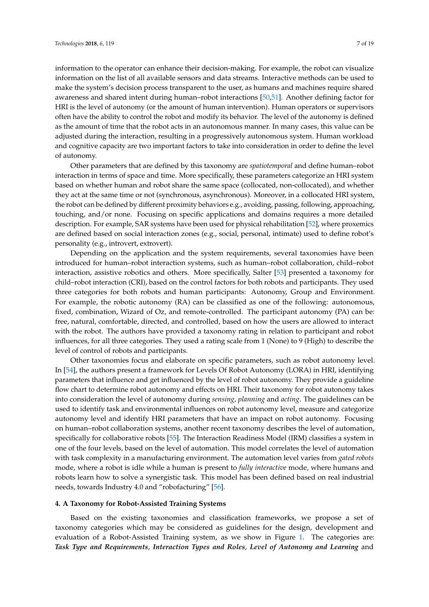information to the operator can enhance their decision-making. For example, the robot can visualize information on the list of all available sensors and data streams. Interactive methods can be used to make the system's decision process transparent to the user, as humans and machines require shared awareness and shared intent during human–robot interactions [\[50](#page-16-12)[,51\]](#page-16-13). Another defining factor for HRI is the level of autonomy (or the amount of human intervention). Human operators or supervisors often have the ability to control the robot and modify its behavior. The level of the autonomy is defined as the amount of time that the robot acts in an autonomous manner. In many cases, this value can be adjusted during the interaction, resulting in a progressively autonomous system. Human workload and cognitive capacity are two important factors to take into consideration in order to define the level of autonomy.

Other parameters that are defined by this taxonomy are *spatiotemporal* and define human–robot interaction in terms of space and time. More specifically, these parameters categorize an HRI system based on whether human and robot share the same space (collocated, non-collocated), and whether they act at the same time or not (synchronous, asynchronous). Moreover, in a collocated HRI system, the robot can be defined by different proximity behaviors e.g., avoiding, passing, following, approaching, touching, and/or none. Focusing on specific applications and domains requires a more detailed description. For example, SAR systems have been used for physical rehabilitation [\[52\]](#page-16-14), where proxemics are defined based on social interaction zones (e.g., social, personal, intimate) used to define robot's personality (e.g., introvert, extrovert).

Depending on the application and the system requirements, several taxonomies have been introduced for human–robot interaction systems, such as human–robot collaboration, child–robot interaction, assistive robotics and others. More specifically, Salter [\[53\]](#page-16-15) presented a taxonomy for child–robot interaction (CRI), based on the control factors for both robots and participants. They used three categories for both robots and human participants: Autonomy, Group and Environment. For example, the robotic autonomy (RA) can be classified as one of the following: autonomous, fixed, combination, Wizard of Oz, and remote-controlled. The participant autonomy (PA) can be: free, natural, comfortable, directed, and controlled, based on how the users are allowed to interact with the robot. The authors have provided a taxonomy rating in relation to participant and robot influences, for all three categories. They used a rating scale from 1 (None) to 9 (High) to describe the level of control of robots and participants.

Other taxonomies focus and elaborate on specific parameters, such as robot autonomy level. In [\[54\]](#page-16-16), the authors present a framework for Levels Of Robot Autonomy (LORA) in HRI, identifying parameters that influence and get influenced by the level of robot autonomy. They provide a guideline flow chart to determine robot autonomy and effects on HRI. Their taxonomy for robot autonomy takes into consideration the level of autonomy during *sensing*, *planning* and *acting*. The guidelines can be used to identify task and environmental influences on robot autonomy level, measure and categorize autonomy level and identify HRI parameters that have an impact on robot autonomy. Focusing on human–robot collaboration systems, another recent taxonomy describes the level of automation, specifically for collaborative robots [\[55\]](#page-16-17). The Interaction Readiness Model (IRM) classifies a system in one of the four levels, based on the level of automation. This model correlates the level of automation with task complexity in a manufacturing environment. The automation level varies from *gated robots* mode, where a robot is idle while a human is present to *fully interactive* mode, where humans and robots learn how to solve a synergistic task. This model has been defined based on real industrial needs, towards Industry 4.0 and "robofacturing" [\[56\]](#page-16-18).

#### <span id="page-6-0"></span>**4. A Taxonomy for Robot-Assisted Training Systems**

Based on the existing taxonomies and classification frameworks, we propose a set of taxonomy categories which may be considered as guidelines for the design, development and evaluation of a Robot-Assisted Training system, as we show in Figure [1.](#page-7-0) The categories are: *Task Type and Requirements*, *Interaction Types and Roles*, *Level of Autonomy and Learning* and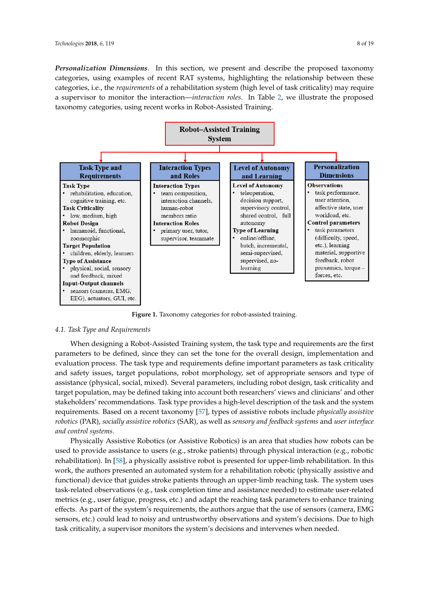*Personalization Dimensions*. In this section, we present and describe the proposed taxonomy categories, using examples of recent RAT systems, highlighting the relationship between these categories, i.e., the *requirements* of a rehabilitation system (high level of task criticality) may require a supervisor to monitor the interaction—*interaction roles*. In Table [2,](#page-8-0) we illustrate the proposed taxonomy categories, using recent works in Robot-Assisted Training.

<span id="page-7-0"></span>

**Figure 1.** Taxonomy categories for robot-assisted training.

#### *4.1. Task Type and Requirements*

When designing a Robot-Assisted Training system, the task type and requirements are the first parameters to be defined, since they can set the tone for the overall design, implementation and evaluation process. The task type and requirements define important parameters as task criticality and safety issues, target populations, robot morphology, set of appropriate sensors and type of assistance (physical, social, mixed). Several parameters, including robot design, task criticality and target population, may be defined taking into account both researchers' views and clinicians' and other stakeholders' recommendations. Task type provides a high-level description of the task and the system requirements. Based on a recent taxonomy [\[57\]](#page-16-19), types of assistive robots include *physically assistive robotics* (PAR), *socially assistive robotics* (SAR), as well as *sensory and feedback systems* and *user interface and control systems*.

Physically Assistive Robotics (or Assistive Robotics) is an area that studies how robots can be used to provide assistance to users (e.g., stroke patients) through physical interaction (e.g., robotic rehabilitation). In [\[58\]](#page-17-0), a physically assistive robot is presented for upper-limb rehabilitation. In this work, the authors presented an automated system for a rehabilitation robotic (physically assistive and functional) device that guides stroke patients through an upper-limb reaching task. The system uses task-related observations (e.g., task completion time and assistance needed) to estimate user-related metrics (e.g., user fatigue, progress, etc.) and adapt the reaching task parameters to enhance training effects. As part of the system's requirements, the authors argue that the use of sensors (camera, EMG sensors, etc.) could lead to noisy and untrustworthy observations and system's decisions. Due to high task criticality, a supervisor monitors the system's decisions and intervenes when needed.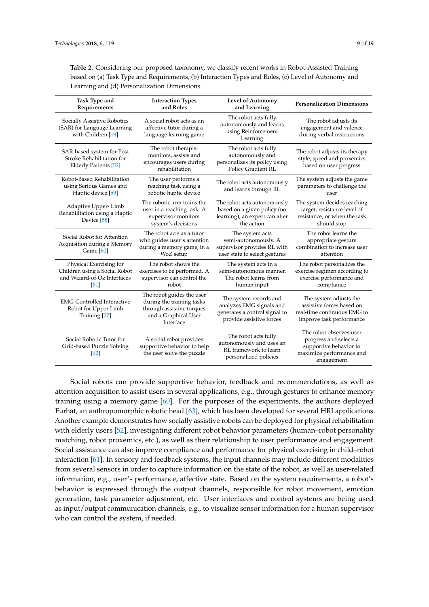<span id="page-8-0"></span>**Table 2.** Considering our proposed taxonomy, we classify recent works in Robot-Assisted Training based on (a) Task Type and Requirements, (b) Interaction Types and Roles, (c) Level of Autonomy and Learning and (d) Personalization Dimensions.

| Task Type and<br>Requirements                                                                   | <b>Interaction Types</b><br>and Roles                                                                                    | <b>Level of Autonomy</b><br>and Learning                                                                        | <b>Personalization Dimensions</b>                                                                                     |
|-------------------------------------------------------------------------------------------------|--------------------------------------------------------------------------------------------------------------------------|-----------------------------------------------------------------------------------------------------------------|-----------------------------------------------------------------------------------------------------------------------|
| Socially Assistive Robotics<br>(SAR) for Language Learning<br>with Children [19]                | A social robot acts as an<br>affective tutor during a<br>language learning game                                          | The robot acts fully<br>autonomously and learns<br>using Reinforcement<br>Learning                              | The robot adjusts its<br>engagement and valence<br>during verbal instructions                                         |
| SAR-based system for Post<br>Stroke Rehabilitation for<br>Elderly Patients [52]                 | The robot therapist<br>monitors, assists and<br>encourages users during<br>rehabilitation                                | The robot acts fully<br>autonomously and<br>personalizes its policy using<br>Policy Gradient RL                 | The robot adjusts its therapy<br>style, speed and proxemics<br>based on user progress                                 |
| Robot-Based Rehabilitation<br>using Serious Games and<br>Haptic device [59]                     | The user performs a<br>reaching task using a<br>robotic haptic device                                                    | The robot acts autonomously<br>and learns through RL                                                            | The system adjusts the game<br>parameters to challenge the<br>user                                                    |
| Adaptive Upper-Limb<br>Rehabilitation using a Haptic<br>Device [58]                             | The robotic arm trains the<br>user in a reaching task. A<br>supervisor monitors<br>system's decisions                    | The robot acts autonomously<br>based on a given policy (no<br>learning); an expert can alter<br>the action      | The system decides reaching<br>target, resistance level of<br>resistance, or when the task<br>should stop             |
| Social Robot for Attention<br>Acquisition during a Memory<br>Game $[60]$                        | The robot acts as a tutor<br>who guides user's attention<br>during a memory game, in a<br>WoZ setup                      | The system acts<br>semi-autonomously. A<br>supervisor provides RL with<br>user state to select gestures         | The robot learns the<br>appropriate gesture<br>combination to increase user<br>attention                              |
| Physical Exercising for<br>Children using a Social Robot<br>and Wizard-of-Oz Interfaces<br>[61] | The robot shows the<br>exercises to be performed. A<br>supervisor can control the<br>robot                               | The system acts in a<br>semi-autonomous manner.<br>The robot learns from<br>human input                         | The robot personalizes the<br>exercise regimen according to<br>exercise performance and<br>compliance                 |
| <b>EMG-Controlled Interactive</b><br>Robot for Upper Limb<br>Training [27]                      | The robot guides the user<br>during the training tasks<br>through assistive torques<br>and a Graphical User<br>Interface | The system records and<br>analyzes EMG signals and<br>generates a control signal to<br>provide assistive forces | The system adjusts the<br>assistive forces based on<br>real-time continuous EMG to<br>improve task performance        |
| Social Robotic Tutor for<br>Grid-based Puzzle Solving<br>[62]                                   | A social robot provides<br>supportive behavior to help<br>the user solve the puzzle                                      | The robot acts fully<br>autonomously and uses an<br>RL framework to learn<br>personalized policies              | The robot observes user<br>progress and selects a<br>supportive behavior to<br>maximize performance and<br>engagement |

Social robots can provide supportive behavior, feedback and recommendations, as well as attention acquisition to assist users in several applications, e.g., through gestures to enhance memory training using a memory game [\[60\]](#page-17-2). For the purposes of the experiments, the authors deployed Furhat, an anthropomorphic robotic head [\[63\]](#page-17-5), which has been developed for several HRI applications. Another example demonstrates how socially assistive robots can be deployed for physical rehabilitation with elderly users [\[52\]](#page-16-14), investigating different robot behavior parameters (human–robot personality matching, robot proxemics, etc.), as well as their relationship to user performance and engagement. Social assistance can also improve compliance and performance for physical exercising in child–robot interaction [\[61\]](#page-17-3). In sensory and feedback systems, the input channels may include different modalities from several sensors in order to capture information on the state of the robot, as well as user-related information, e.g., user's performance, affective state. Based on the system requirements, a robot's behavior is expressed through the output channels, responsible for robot movement, emotion generation, task parameter adjustment, etc. User interfaces and control systems are being used as input/output communication channels, e.g., to visualize sensor information for a human supervisor who can control the system, if needed.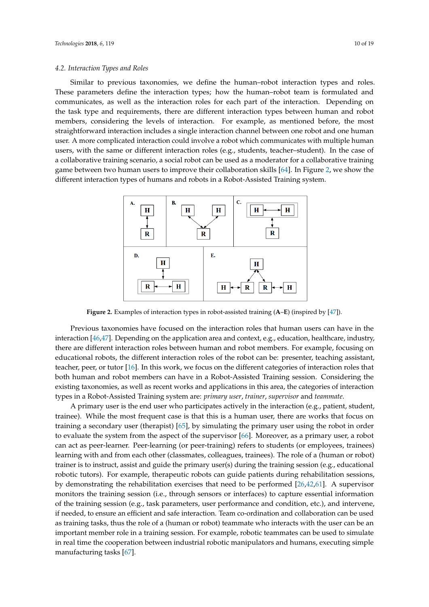#### *4.2. Interaction Types and Roles*

Similar to previous taxonomies, we define the human–robot interaction types and roles. These parameters define the interaction types; how the human–robot team is formulated and communicates, as well as the interaction roles for each part of the interaction. Depending on the task type and requirements, there are different interaction types between human and robot members, considering the levels of interaction. For example, as mentioned before, the most straightforward interaction includes a single interaction channel between one robot and one human user. A more complicated interaction could involve a robot which communicates with multiple human users, with the same or different interaction roles (e.g., students, teacher–student). In the case of a collaborative training scenario, a social robot can be used as a moderator for a collaborative training game between two human users to improve their collaboration skills [\[64\]](#page-17-6). In Figure [2,](#page-9-0) we show the different interaction types of humans and robots in a Robot-Assisted Training system.

<span id="page-9-0"></span>

**Figure 2.** Examples of interaction types in robot-assisted training (**A**–**E**) (inspired by [\[47\]](#page-16-9)).

Previous taxonomies have focused on the interaction roles that human users can have in the interaction [\[46](#page-16-8)[,47\]](#page-16-9). Depending on the application area and context, e.g., education, healthcare, industry, there are different interaction roles between human and robot members. For example, focusing on educational robots, the different interaction roles of the robot can be: presenter, teaching assistant, teacher, peer, or tutor [\[16\]](#page-14-13). In this work, we focus on the different categories of interaction roles that both human and robot members can have in a Robot-Assisted Training session. Considering the existing taxonomies, as well as recent works and applications in this area, the categories of interaction types in a Robot-Assisted Training system are: *primary user*, *trainer*, *supervisor* and *teammate*.

A primary user is the end user who participates actively in the interaction (e.g., patient, student, trainee). While the most frequent case is that this is a human user, there are works that focus on training a secondary user (therapist) [\[65\]](#page-17-7), by simulating the primary user using the robot in order to evaluate the system from the aspect of the supervisor [\[66\]](#page-17-8). Moreover, as a primary user, a robot can act as peer-learner. Peer-learning (or peer-training) refers to students (or employees, trainees) learning with and from each other (classmates, colleagues, trainees). The role of a (human or robot) trainer is to instruct, assist and guide the primary user(s) during the training session (e.g., educational robotic tutors). For example, therapeutic robots can guide patients during rehabilitation sessions, by demonstrating the rehabilitation exercises that need to be performed [\[26,](#page-15-7)[42,](#page-16-4)[61\]](#page-17-3). A supervisor monitors the training session (i.e., through sensors or interfaces) to capture essential information of the training session (e.g., task parameters, user performance and condition, etc.), and intervene, if needed, to ensure an efficient and safe interaction. Team co-ordination and collaboration can be used as training tasks, thus the role of a (human or robot) teammate who interacts with the user can be an important member role in a training session. For example, robotic teammates can be used to simulate in real time the cooperation between industrial robotic manipulators and humans, executing simple manufacturing tasks [\[67\]](#page-17-9).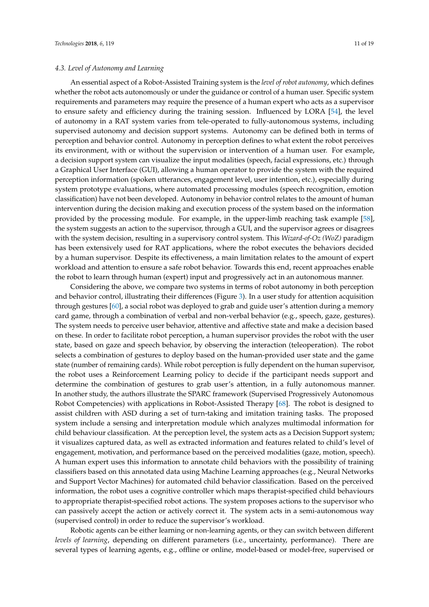An essential aspect of a Robot-Assisted Training system is the *level of robot autonomy*, which defines whether the robot acts autonomously or under the guidance or control of a human user. Specific system requirements and parameters may require the presence of a human expert who acts as a supervisor to ensure safety and efficiency during the training session. Influenced by LORA [\[54\]](#page-16-16), the level of autonomy in a RAT system varies from tele-operated to fully-autonomous systems, including supervised autonomy and decision support systems. Autonomy can be defined both in terms of perception and behavior control. Autonomy in perception defines to what extent the robot perceives its environment, with or without the supervision or intervention of a human user. For example, a decision support system can visualize the input modalities (speech, facial expressions, etc.) through a Graphical User Interface (GUI), allowing a human operator to provide the system with the required perception information (spoken utterances, engagement level, user intention, etc.), especially during system prototype evaluations, where automated processing modules (speech recognition, emotion classification) have not been developed. Autonomy in behavior control relates to the amount of human intervention during the decision making and execution process of the system based on the information provided by the processing module. For example, in the upper-limb reaching task example [\[58\]](#page-17-0), the system suggests an action to the supervisor, through a GUI, and the supervisor agrees or disagrees with the system decision, resulting in a supervisory control system. This *Wizard-of-Oz (WoZ)* paradigm has been extensively used for RAT applications, where the robot executes the behaviors decided by a human supervisor. Despite its effectiveness, a main limitation relates to the amount of expert workload and attention to ensure a safe robot behavior. Towards this end, recent approaches enable the robot to learn through human (expert) input and progressively act in an autonomous manner.

Considering the above, we compare two systems in terms of robot autonomy in both perception and behavior control, illustrating their differences (Figure [3\)](#page-11-0). In a user study for attention acquisition through gestures [\[60\]](#page-17-2), a social robot was deployed to grab and guide user's attention during a memory card game, through a combination of verbal and non-verbal behavior (e.g., speech, gaze, gestures). The system needs to perceive user behavior, attentive and affective state and make a decision based on these. In order to facilitate robot perception, a human supervisor provides the robot with the user state, based on gaze and speech behavior, by observing the interaction (teleoperation). The robot selects a combination of gestures to deploy based on the human-provided user state and the game state (number of remaining cards). While robot perception is fully dependent on the human supervisor, the robot uses a Reinforcement Learning policy to decide if the participant needs support and determine the combination of gestures to grab user's attention, in a fully autonomous manner. In another study, the authors illustrate the SPARC framework (Supervised Progressively Autonomous Robot Competencies) with applications in Robot-Assisted Therapy [\[68\]](#page-17-10). The robot is designed to assist children with ASD during a set of turn-taking and imitation training tasks. The proposed system include a sensing and interpretation module which analyzes multimodal information for child behaviour classification. At the perception level, the system acts as a Decision Support system; it visualizes captured data, as well as extracted information and features related to child's level of engagement, motivation, and performance based on the perceived modalities (gaze, motion, speech). A human expert uses this information to annotate child behaviors with the possibility of training classifiers based on this annotated data using Machine Learning approaches (e.g., Neural Networks and Support Vector Machines) for automated child behavior classification. Based on the perceived information, the robot uses a cognitive controller which maps therapist-specified child behaviours to appropriate therapist-specified robot actions. The system proposes actions to the supervisor who can passively accept the action or actively correct it. The system acts in a semi-autonomous way (supervised control) in order to reduce the supervisor's workload.

Robotic agents can be either learning or non-learning agents, or they can switch between different *levels of learning*, depending on different parameters (i.e., uncertainty, performance). There are several types of learning agents, e.g., offline or online, model-based or model-free, supervised or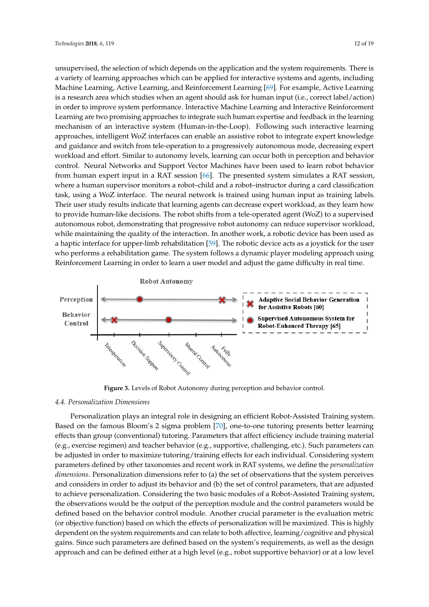unsupervised, the selection of which depends on the application and the system requirements. There is a variety of learning approaches which can be applied for interactive systems and agents, including Machine Learning, Active Learning, and Reinforcement Learning [\[69\]](#page-17-11). For example, Active Learning is a research area which studies when an agent should ask for human input (i.e., correct label/action) in order to improve system performance. Interactive Machine Learning and Interactive Reinforcement Learning are two promising approaches to integrate such human expertise and feedback in the learning mechanism of an interactive system (Human-in-the-Loop). Following such interactive learning approaches, intelligent WoZ interfaces can enable an assistive robot to integrate expert knowledge and guidance and switch from tele-operation to a progressively autonomous mode, decreasing expert workload and effort. Similar to autonomy levels, learning can occur both in perception and behavior control. Neural Networks and Support Vector Machines have been used to learn robot behavior from human expert input in a RAT session [\[66\]](#page-17-8). The presented system simulates a RAT session, where a human supervisor monitors a robot–child and a robot–instructor during a card classification task, using a WoZ interface. The neural network is trained using human input as training labels. Their user study results indicate that learning agents can decrease expert workload, as they learn how to provide human-like decisions. The robot shifts from a tele-operated agent (WoZ) to a supervised autonomous robot, demonstrating that progressive robot autonomy can reduce supervisor workload, while maintaining the quality of the interaction. In another work, a robotic device has been used as a haptic interface for upper-limb rehabilitation [\[59\]](#page-17-1). The robotic device acts as a joystick for the user who performs a rehabilitation game. The system follows a dynamic player modeling approach using Reinforcement Learning in order to learn a user model and adjust the game difficulty in real time.

<span id="page-11-0"></span>

**Figure 3.** Levels of Robot Autonomy during perception and behavior control.

#### *4.4. Personalization Dimensions*

Personalization plays an integral role in designing an efficient Robot-Assisted Training system. Based on the famous Bloom's 2 sigma problem [\[70\]](#page-17-12), one-to-one tutoring presents better learning effects than group (conventional) tutoring. Parameters that affect efficiency include training material (e.g., exercise regimen) and teacher behavior (e.g., supportive, challenging, etc.). Such parameters can be adjusted in order to maximize tutoring/training effects for each individual. Considering system parameters defined by other taxonomies and recent work in RAT systems, we define the *personalization dimensions*. Personalization dimensions refer to (a) the set of observations that the system perceives and considers in order to adjust its behavior and (b) the set of control parameters, that are adjusted to achieve personalization. Considering the two basic modules of a Robot-Assisted Training system, the observations would be the output of the perception module and the control parameters would be defined based on the behavior control module. Another crucial parameter is the evaluation metric (or objective function) based on which the effects of personalization will be maximized. This is highly dependent on the system requirements and can relate to both affective, learning/cognitive and physical gains. Since such parameters are defined based on the system's requirements, as well as the design approach and can be defined either at a high level (e.g., robot supportive behavior) or at a low level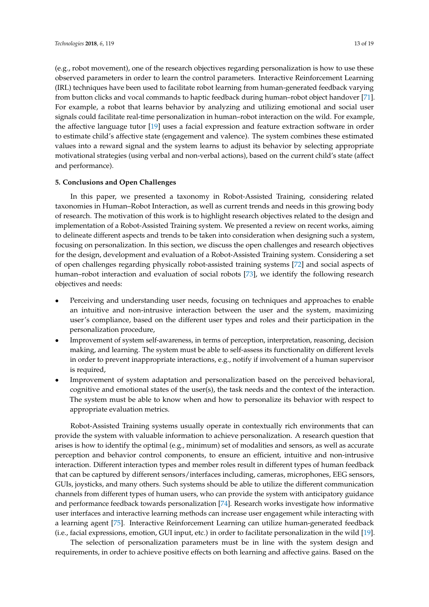(e.g., robot movement), one of the research objectives regarding personalization is how to use these observed parameters in order to learn the control parameters. Interactive Reinforcement Learning (IRL) techniques have been used to facilitate robot learning from human-generated feedback varying from button clicks and vocal commands to haptic feedback during human–robot object handover [\[71\]](#page-17-13). For example, a robot that learns behavior by analyzing and utilizing emotional and social user signals could facilitate real-time personalization in human–robot interaction on the wild. For example, the affective language tutor [\[19\]](#page-15-0) uses a facial expression and feature extraction software in order to estimate child's affective state (engagement and valence). The system combines these estimated values into a reward signal and the system learns to adjust its behavior by selecting appropriate motivational strategies (using verbal and non-verbal actions), based on the current child's state (affect and performance).

#### <span id="page-12-0"></span>**5. Conclusions and Open Challenges**

In this paper, we presented a taxonomy in Robot-Assisted Training, considering related taxonomies in Human–Robot Interaction, as well as current trends and needs in this growing body of research. The motivation of this work is to highlight research objectives related to the design and implementation of a Robot-Assisted Training system. We presented a review on recent works, aiming to delineate different aspects and trends to be taken into consideration when designing such a system, focusing on personalization. In this section, we discuss the open challenges and research objectives for the design, development and evaluation of a Robot-Assisted Training system. Considering a set of open challenges regarding physically robot-assisted training systems [\[72\]](#page-17-14) and social aspects of human–robot interaction and evaluation of social robots [\[73\]](#page-17-15), we identify the following research objectives and needs:

- Perceiving and understanding user needs, focusing on techniques and approaches to enable an intuitive and non-intrusive interaction between the user and the system, maximizing user's compliance, based on the different user types and roles and their participation in the personalization procedure,
- Improvement of system self-awareness, in terms of perception, interpretation, reasoning, decision making, and learning. The system must be able to self-assess its functionality on different levels in order to prevent inappropriate interactions, e.g., notify if involvement of a human supervisor is required,
- Improvement of system adaptation and personalization based on the perceived behavioral, cognitive and emotional states of the user(s), the task needs and the context of the interaction. The system must be able to know when and how to personalize its behavior with respect to appropriate evaluation metrics.

Robot-Assisted Training systems usually operate in contextually rich environments that can provide the system with valuable information to achieve personalization. A research question that arises is how to identify the optimal (e.g., minimum) set of modalities and sensors, as well as accurate perception and behavior control components, to ensure an efficient, intuitive and non-intrusive interaction. Different interaction types and member roles result in different types of human feedback that can be captured by different sensors/interfaces including, cameras, microphones, EEG sensors, GUIs, joysticks, and many others. Such systems should be able to utilize the different communication channels from different types of human users, who can provide the system with anticipatory guidance and performance feedback towards personalization [\[74\]](#page-17-16). Research works investigate how informative user interfaces and interactive learning methods can increase user engagement while interacting with a learning agent [\[75\]](#page-17-17). Interactive Reinforcement Learning can utilize human-generated feedback (i.e., facial expressions, emotion, GUI input, etc.) in order to facilitate personalization in the wild [\[19\]](#page-15-0).

The selection of personalization parameters must be in line with the system design and requirements, in order to achieve positive effects on both learning and affective gains. Based on the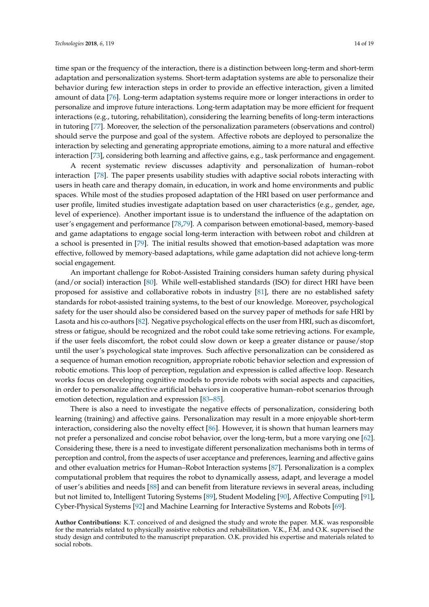time span or the frequency of the interaction, there is a distinction between long-term and short-term adaptation and personalization systems. Short-term adaptation systems are able to personalize their behavior during few interaction steps in order to provide an effective interaction, given a limited amount of data [\[76\]](#page-17-18). Long-term adaptation systems require more or longer interactions in order to personalize and improve future interactions. Long-term adaptation may be more efficient for frequent interactions (e.g., tutoring, rehabilitation), considering the learning benefits of long-term interactions in tutoring [\[77\]](#page-18-0). Moreover, the selection of the personalization parameters (observations and control) should serve the purpose and goal of the system. Affective robots are deployed to personalize the interaction by selecting and generating appropriate emotions, aiming to a more natural and effective interaction [\[73\]](#page-17-15), considering both learning and affective gains, e.g., task performance and engagement.

A recent systematic review discusses adaptivity and personalization of human–robot interaction [\[78\]](#page-18-1). The paper presents usability studies with adaptive social robots interacting with users in heath care and therapy domain, in education, in work and home environments and public spaces. While most of the studies proposed adaptation of the HRI based on user performance and user profile, limited studies investigate adaptation based on user characteristics (e.g., gender, age, level of experience). Another important issue is to understand the influence of the adaptation on user's engagement and performance [\[78,](#page-18-1)[79\]](#page-18-2). A comparison between emotional-based, memory-based and game adaptations to engage social long-term interaction with between robot and children at a school is presented in [\[79\]](#page-18-2). The initial results showed that emotion-based adaptation was more effective, followed by memory-based adaptations, while game adaptation did not achieve long-term social engagement.

An important challenge for Robot-Assisted Training considers human safety during physical (and/or social) interaction [\[80\]](#page-18-3). While well-established standards (ISO) for direct HRI have been proposed for assistive and collaborative robots in industry [\[81\]](#page-18-4), there are no established safety standards for robot-assisted training systems, to the best of our knowledge. Moreover, psychological safety for the user should also be considered based on the survey paper of methods for safe HRI by Lasota and his co-authors [\[82\]](#page-18-5). Negative psychological effects on the user from HRI, such as discomfort, stress or fatigue, should be recognized and the robot could take some retrieving actions. For example, if the user feels discomfort, the robot could slow down or keep a greater distance or pause/stop until the user's psychological state improves. Such affective personalization can be considered as a sequence of human emotion recognition, appropriate robotic behavior selection and expression of robotic emotions. This loop of perception, regulation and expression is called affective loop. Research works focus on developing cognitive models to provide robots with social aspects and capacities, in order to personalize affective artificial behaviors in cooperative human–robot scenarios through emotion detection, regulation and expression [\[83](#page-18-6)[–85\]](#page-18-7).

There is also a need to investigate the negative effects of personalization, considering both learning (training) and affective gains. Personalization may result in a more enjoyable short-term interaction, considering also the novelty effect [\[86\]](#page-18-8). However, it is shown that human learners may not prefer a personalized and concise robot behavior, over the long-term, but a more varying one [\[62\]](#page-17-4). Considering these, there is a need to investigate different personalization mechanisms both in terms of perception and control, from the aspects of user acceptance and preferences, learning and affective gains and other evaluation metrics for Human–Robot Interaction systems [\[87\]](#page-18-9). Personalization is a complex computational problem that requires the robot to dynamically assess, adapt, and leverage a model of user's abilities and needs [\[88\]](#page-18-10) and can benefit from literature reviews in several areas, including but not limited to, Intelligent Tutoring Systems [\[89\]](#page-18-11), Student Modeling [\[90\]](#page-18-12), Affective Computing [\[91\]](#page-18-13), Cyber-Physical Systems [\[92\]](#page-18-14) and Machine Learning for Interactive Systems and Robots [\[69\]](#page-17-11).

**Author Contributions:** K.T. conceived of and designed the study and wrote the paper. M.K. was responsible for the materials related to physically assistive robotics and rehabilitation. V.K., F.M. and O.K. supervised the study design and contributed to the manuscript preparation. O.K. provided his expertise and materials related to social robots.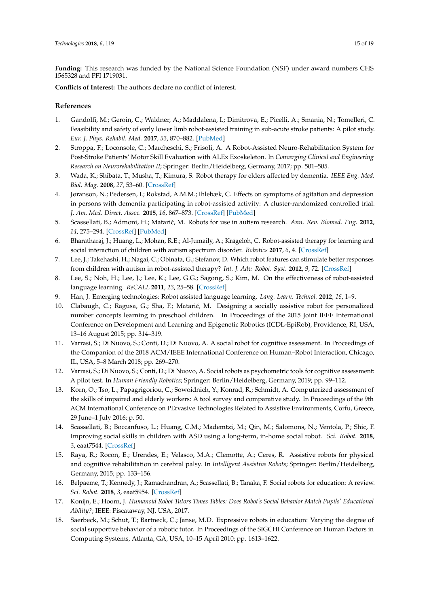**Funding:** This research was funded by the National Science Foundation (NSF) under award numbers CHS 1565328 and PFI 1719031.

**Conflicts of Interest:** The authors declare no conflict of interest.

## **References**

- <span id="page-14-0"></span>1. Gandolfi, M.; Geroin, C.; Waldner, A.; Maddalena, I.; Dimitrova, E.; Picelli, A.; Smania, N.; Tomelleri, C. Feasibility and safety of early lower limb robot-assisted training in sub-acute stroke patients: A pilot study. *Eur. J. Phys. Rehabil. Med.* **2017**, *53*, 870–882. [\[PubMed\]](http://www.ncbi.nlm.nih.gov/pubmed/28084064)
- <span id="page-14-1"></span>2. Stroppa, F.; Loconsole, C.; Marcheschi, S.; Frisoli, A. A Robot-Assisted Neuro-Rehabilitation System for Post-Stroke Patients' Motor Skill Evaluation with ALEx Exoskeleton. In *Converging Clinical and Engineering Research on Neurorehabilitation II*; Springer: Berlin/Heidelberg, Germany, 2017; pp. 501–505.
- <span id="page-14-2"></span>3. Wada, K.; Shibata, T.; Musha, T.; Kimura, S. Robot therapy for elders affected by dementia. *IEEE Eng. Med. Biol. Mag.* **2008**, *27*, 53–60. [\[CrossRef\]](http://dx.doi.org/10.1109/MEMB.2008.919496)
- <span id="page-14-3"></span>4. Jøranson, N.; Pedersen, I.; Rokstad, A.M.M.; Ihlebæk, C. Effects on symptoms of agitation and depression in persons with dementia participating in robot-assisted activity: A cluster-randomized controlled trial. *J. Am. Med. Direct. Assoc.* **2015**, *16*, 867–873. [\[CrossRef\]](http://dx.doi.org/10.1016/j.jamda.2015.05.002) [\[PubMed\]](http://www.ncbi.nlm.nih.gov/pubmed/26096582)
- <span id="page-14-4"></span>5. Scassellati, B.; Admoni, H.; Matari´c, M. Robots for use in autism research. *Ann. Rev. Biomed. Eng.* **2012**, *14*, 275–294. [\[CrossRef\]](http://dx.doi.org/10.1146/annurev-bioeng-071811-150036) [\[PubMed\]](http://www.ncbi.nlm.nih.gov/pubmed/22577778)
- 6. Bharatharaj, J.; Huang, L.; Mohan, R.E.; Al-Jumaily, A.; Krägeloh, C. Robot-assisted therapy for learning and social interaction of children with autism spectrum disorder. *Robotics* **2017**, *6*, 4. [\[CrossRef\]](http://dx.doi.org/10.3390/robotics6010004)
- <span id="page-14-5"></span>7. Lee, J.; Takehashi, H.; Nagai, C.; Obinata, G.; Stefanov, D. Which robot features can stimulate better responses from children with autism in robot-assisted therapy? *Int. J. Adv. Robot. Syst.* **2012**, *9*, 72. [\[CrossRef\]](http://dx.doi.org/10.5772/51128)
- <span id="page-14-6"></span>8. Lee, S.; Noh, H.; Lee, J.; Lee, K.; Lee, G.G.; Sagong, S.; Kim, M. On the effectiveness of robot-assisted language learning. *ReCALL* **2011**, *23*, 25–58. [\[CrossRef\]](http://dx.doi.org/10.1017/S0958344010000273)
- 9. Han, J. Emerging technologies: Robot assisted language learning. *Lang. Learn. Technol.* **2012**, *16*, 1–9.
- <span id="page-14-7"></span>10. Clabaugh, C.; Ragusa, G.; Sha, F.; Matarić, M. Designing a socially assistive robot for personalized number concepts learning in preschool children. In Proceedings of the 2015 Joint IEEE International Conference on Development and Learning and Epigenetic Robotics (ICDL-EpiRob), Providence, RI, USA, 13–16 August 2015; pp. 314–319.
- <span id="page-14-8"></span>11. Varrasi, S.; Di Nuovo, S.; Conti, D.; Di Nuovo, A. A social robot for cognitive assessment. In Proceedings of the Companion of the 2018 ACM/IEEE International Conference on Human–Robot Interaction, Chicago, IL, USA, 5–8 March 2018; pp. 269–270.
- <span id="page-14-10"></span>12. Varrasi, S.; Di Nuovo, S.; Conti, D.; Di Nuovo, A. Social robots as psychometric tools for cognitive assessment: A pilot test. In *Human Friendly Robotics*; Springer: Berlin/Heidelberg, Germany, 2019; pp. 99–112.
- <span id="page-14-9"></span>13. Korn, O.; Tso, L.; Papagrigoriou, C.; Sowoidnich, Y.; Konrad, R.; Schmidt, A. Computerized assessment of the skills of impaired and elderly workers: A tool survey and comparative study. In Proceedings of the 9th ACM International Conference on PErvasive Technologies Related to Assistive Environments, Corfu, Greece, 29 June–1 July 2016; p. 50.
- <span id="page-14-11"></span>14. Scassellati, B.; Boccanfuso, L.; Huang, C.M.; Mademtzi, M.; Qin, M.; Salomons, N.; Ventola, P.; Shic, F. Improving social skills in children with ASD using a long-term, in-home social robot. *Sci. Robot.* **2018**, *3*, eaat7544. [\[CrossRef\]](http://dx.doi.org/10.1126/scirobotics.aat7544)
- <span id="page-14-12"></span>15. Raya, R.; Rocon, E.; Urendes, E.; Velasco, M.A.; Clemotte, A.; Ceres, R. Assistive robots for physical and cognitive rehabilitation in cerebral palsy. In *Intelligent Assistive Robots*; Springer: Berlin/Heidelberg, Germany, 2015; pp. 133–156.
- <span id="page-14-13"></span>16. Belpaeme, T.; Kennedy, J.; Ramachandran, A.; Scassellati, B.; Tanaka, F. Social robots for education: A review. *Sci. Robot.* **2018**, *3*, eaat5954. [\[CrossRef\]](http://dx.doi.org/10.1126/scirobotics.aat5954)
- 17. Konijn, E.; Hoorn, J. *Humanoid Robot Tutors Times Tables: Does Robot's Social Behavior Match Pupils' Educational Ability?*; IEEE: Piscataway, NJ, USA, 2017.
- <span id="page-14-14"></span>18. Saerbeck, M.; Schut, T.; Bartneck, C.; Janse, M.D. Expressive robots in education: Varying the degree of social supportive behavior of a robotic tutor. In Proceedings of the SIGCHI Conference on Human Factors in Computing Systems, Atlanta, GA, USA, 10–15 April 2010; pp. 1613–1622.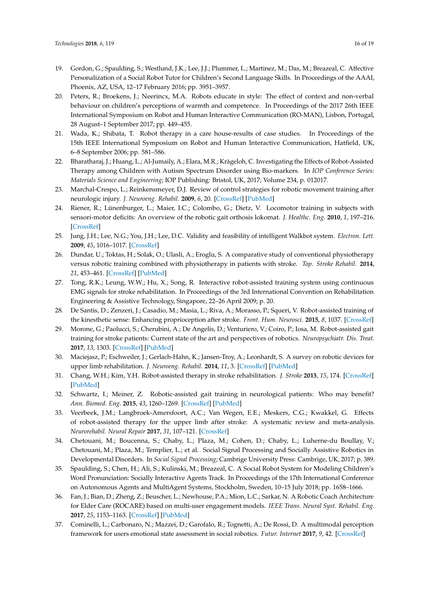- <span id="page-15-0"></span>19. Gordon, G.; Spaulding, S.; Westlund, J.K.; Lee, J.J.; Plummer, L.; Martinez, M.; Das, M.; Breazeal, C. Affective Personalization of a Social Robot Tutor for Children's Second Language Skills. In Proceedings of the AAAI, Phoenix, AZ, USA, 12–17 February 2016; pp. 3951–3957.
- <span id="page-15-1"></span>20. Peters, R.; Broekens, J.; Neerincx, M.A. Robots educate in style: The effect of context and non-verbal behaviour on children's perceptions of warmth and competence. In Proceedings of the 2017 26th IEEE International Symposium on Robot and Human Interactive Communication (RO-MAN), Lisbon, Portugal, 28 August–1 September 2017; pp. 449–455.
- <span id="page-15-2"></span>21. Wada, K.; Shibata, T. Robot therapy in a care house-results of case studies. In Proceedings of the 15th IEEE International Symposium on Robot and Human Interactive Communication, Hatfield, UK, 6–8 September 2006; pp. 581–586.
- <span id="page-15-3"></span>22. Bharatharaj, J.; Huang, L.; Al-Jumaily, A.; Elara, M.R.; Krägeloh, C. Investigating the Effects of Robot-Assisted Therapy among Children with Autism Spectrum Disorder using Bio-markers. In *IOP Conference Series: Materials Science and Engineering*; IOP Publishing: Bristol, UK, 2017; Volume 234, p. 012017.
- <span id="page-15-4"></span>23. Marchal-Crespo, L.; Reinkensmeyer, D.J. Review of control strategies for robotic movement training after neurologic injury. *J. Neuroeng. Rehabil.* **2009**, *6*, 20. [\[CrossRef\]](http://dx.doi.org/10.1186/1743-0003-6-20) [\[PubMed\]](http://www.ncbi.nlm.nih.gov/pubmed/19531254)
- <span id="page-15-5"></span>24. Riener, R.; Lünenburger, L.; Maier, I.C.; Colombo, G.; Dietz, V. Locomotor training in subjects with sensori-motor deficits: An overview of the robotic gait orthosis lokomat. *J. Healthc. Eng.* **2010**, *1*, 197–216. [\[CrossRef\]](http://dx.doi.org/10.1260/2040-2295.1.2.197)
- <span id="page-15-6"></span>25. Jung, J.H.; Lee, N.G.; You, J.H.; Lee, D.C. Validity and feasibility of intelligent Walkbot system. *Electron. Lett.* **2009**, *45*, 1016–1017. [\[CrossRef\]](http://dx.doi.org/10.1049/el.2009.0879)
- <span id="page-15-7"></span>26. Dundar, U.; Toktas, H.; Solak, O.; Ulasli, A.; Eroglu, S. A comparative study of conventional physiotherapy versus robotic training combined with physiotherapy in patients with stroke. *Top. Stroke Rehabil.* **2014**, *21*, 453–461. [\[CrossRef\]](http://dx.doi.org/10.1310/tsr2106-453) [\[PubMed\]](http://www.ncbi.nlm.nih.gov/pubmed/25467393)
- <span id="page-15-8"></span>27. Tong, R.K.; Leung, W.W.; Hu, X.; Song, R. Interactive robot-assisted training system using continuous EMG signals for stroke rehabilitation. In Proceedings of the 3rd International Convention on Rehabilitation Engineering & Assistive Technology, Singapore, 22–26 April 2009; p. 20.
- <span id="page-15-9"></span>28. De Santis, D.; Zenzeri, J.; Casadio, M.; Masia, L.; Riva, A.; Morasso, P.; Squeri, V. Robot-assisted training of the kinesthetic sense: Enhancing proprioception after stroke. *Front. Hum. Neurosci.* **2015**, *8*, 1037. [\[CrossRef\]](http://dx.doi.org/10.3389/fnhum.2014.01037)
- <span id="page-15-10"></span>29. Morone, G.; Paolucci, S.; Cherubini, A.; De Angelis, D.; Venturiero, V.; Coiro, P.; Iosa, M. Robot-assisted gait training for stroke patients: Current state of the art and perspectives of robotics. *Neuropsychiatr. Dis. Treat.* **2017**, *13*, 1303. [\[CrossRef\]](http://dx.doi.org/10.2147/NDT.S114102) [\[PubMed\]](http://www.ncbi.nlm.nih.gov/pubmed/28553117)
- <span id="page-15-11"></span>30. Maciejasz, P.; Eschweiler, J.; Gerlach-Hahn, K.; Jansen-Troy, A.; Leonhardt, S. A survey on robotic devices for upper limb rehabilitation. *J. Neuroeng. Rehabil.* **2014**, *11*, 3. [\[CrossRef\]](http://dx.doi.org/10.1186/1743-0003-11-3) [\[PubMed\]](http://www.ncbi.nlm.nih.gov/pubmed/24401110)
- <span id="page-15-12"></span>31. Chang, W.H.; Kim, Y.H. Robot-assisted therapy in stroke rehabilitation. *J. Stroke* **2013**, *15*, 174. [\[CrossRef\]](http://dx.doi.org/10.5853/jos.2013.15.3.174) [\[PubMed\]](http://www.ncbi.nlm.nih.gov/pubmed/24396811)
- <span id="page-15-13"></span>32. Schwartz, I.; Meiner, Z. Robotic-assisted gait training in neurological patients: Who may benefit? *Ann. Biomed. Eng.* **2015**, *43*, 1260–1269. [\[CrossRef\]](http://dx.doi.org/10.1007/s10439-015-1283-x) [\[PubMed\]](http://www.ncbi.nlm.nih.gov/pubmed/25724733)
- <span id="page-15-14"></span>33. Veerbeek, J.M.; Langbroek-Amersfoort, A.C.; Van Wegen, E.E.; Meskers, C.G.; Kwakkel, G. Effects of robot-assisted therapy for the upper limb after stroke: A systematic review and meta-analysis. *Neurorehabil. Neural Repair* **2017**, *31*, 107–121. [\[CrossRef\]](http://dx.doi.org/10.1177/1545968316666957)
- <span id="page-15-15"></span>34. Chetouani, M.; Boucenna, S.; Chaby, L.; Plaza, M.; Cohen, D.; Chaby, L.; Luherne-du Boullay, V.; Chetouani, M.; Plaza, M.; Templier, L.; et al. Social Signal Processing and Socially Assistive Robotics in Developmental Disorders. In *Social Signal Processing*; Cambrige University Press: Cambrige, UK, 2017; p. 389.
- <span id="page-15-16"></span>35. Spaulding, S.; Chen, H.; Ali, S.; Kulinski, M.; Breazeal, C. A Social Robot System for Modeling Children's Word Pronunciation: Socially Interactive Agents Track. In Proceedings of the 17th International Conference on Autonomous Agents and MultiAgent Systems, Stockholm, Sweden, 10–15 July 2018; pp. 1658–1666.
- <span id="page-15-17"></span>36. Fan, J.; Bian, D.; Zheng, Z.; Beuscher, L.; Newhouse, P.A.; Mion, L.C.; Sarkar, N. A Robotic Coach Architecture for Elder Care (ROCARE) based on multi-user engagement models. *IEEE Trans. Neural Syst. Rehabil. Eng.* **2017**, *25*, 1153–1163. [\[CrossRef\]](http://dx.doi.org/10.1109/TNSRE.2016.2608791) [\[PubMed\]](http://www.ncbi.nlm.nih.gov/pubmed/28113672)
- <span id="page-15-18"></span>37. Cominelli, L.; Carbonaro, N.; Mazzei, D.; Garofalo, R.; Tognetti, A.; De Rossi, D. A multimodal perception framework for users emotional state assessment in social robotics. *Futur. Internet* **2017**, *9*, 42. [\[CrossRef\]](http://dx.doi.org/10.3390/fi9030042)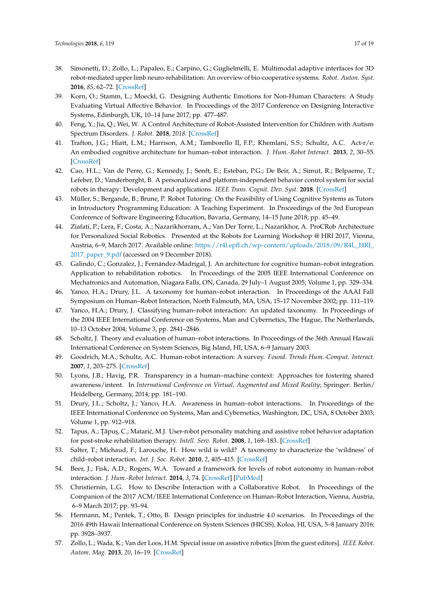- <span id="page-16-0"></span>38. Simonetti, D.; Zollo, L.; Papaleo, E.; Carpino, G.; Guglielmelli, E. Multimodal adaptive interfaces for 3D robot-mediated upper limb neuro-rehabilitation: An overview of bio-cooperative systems. *Robot. Auton. Syst.* **2016**, *85*, 62–72. [\[CrossRef\]](http://dx.doi.org/10.1016/j.robot.2016.08.012)
- <span id="page-16-1"></span>39. Korn, O.; Stamm, L.; Moeckl, G. Designing Authentic Emotions for Non-Human Characters: A Study Evaluating Virtual Affective Behavior. In Proceedings of the 2017 Conference on Designing Interactive Systems, Edinburgh, UK, 10–14 June 2017; pp. 477–487.
- <span id="page-16-2"></span>40. Feng, Y.; Jia, Q.; Wei, W. A Control Architecture of Robot-Assisted Intervention for Children with Autism Spectrum Disorders. *J. Robot.* **2018**, *2018*. [\[CrossRef\]](http://dx.doi.org/10.1155/2018/3246708)
- <span id="page-16-3"></span>41. Trafton, J.G.; Hiatt, L.M.; Harrison, A.M.; Tamborello II, F.P.; Khemlani, S.S.; Schultz, A.C. Act-r/e: An embodied cognitive architecture for human–robot interaction. *J. Hum.-Robot Interact.* **2013**, *2*, 30–55. [\[CrossRef\]](http://dx.doi.org/10.5898/JHRI.2.1.Trafton)
- <span id="page-16-4"></span>42. Cao, H.L.; Van de Perre, G.; Kennedy, J.; Senft, E.; Esteban, P.G.; De Beir, A.; Simut, R.; Belpaeme, T.; Lefeber, D.; Vanderborght, B. A personalized and platform-independent behavior control system for social robots in therapy: Development and applications. *IEEE Trans. Cognit. Dev. Syst.* **2018**. [\[CrossRef\]](http://dx.doi.org/10.1109/TCDS.2018.2795343)
- <span id="page-16-5"></span>43. Müller, S.; Bergande, B.; Brune, P. Robot Tutoring: On the Feasibility of Using Cognitive Systems as Tutors in Introductory Programming Education: A Teaching Experiment. In Proceedings of the 3rd European Conference of Software Engineering Education, Bavaria, Germany, 14–15 June 2018; pp. 45–49.
- <span id="page-16-6"></span>44. Ziafati, P.; Lera, F.; Costa, A.; Nazarikhorram, A.; Van Der Torre, L.; Nazarikhor, A. ProCRob Architecture for Personalized Social Robotics. Presented at the Robots for Learning Workshop @ HRI 2017, Vienna, Austria, 6–9, March 2017. Available online: [https://r4l.epfl.ch/wp-content/uploads/2018/09/R4L\\_HRI\\_](https://r4l.epfl.ch/wp-content/uploads/2018/09/R4L_HRI_2017_paper_9.pdf) [2017\\_paper\\_9.pdf](https://r4l.epfl.ch/wp-content/uploads/2018/09/R4L_HRI_2017_paper_9.pdf) (accessed on 9 December 2018).
- <span id="page-16-7"></span>45. Galindo, C.; Gonzalez, J.; Fernández-Madrigal, J. An architecture for cognitive human–robot integration. Application to rehabilitation robotics. In Proceedings of the 2005 IEEE International Conference on Mechatronics and Automation, Niagara Falls, ON, Canada, 29 July–1 August 2005; Volume 1, pp. 329–334.
- <span id="page-16-8"></span>46. Yanco, H.A.; Drury, J.L. A taxonomy for human–robot interaction. In Proceedings of the AAAI Fall Symposium on Human–Robot Interaction, North Falmouth, MA, USA, 15–17 November 2002; pp. 111–119.
- <span id="page-16-9"></span>47. Yanco, H.A.; Drury, J. Classifying human–robot interaction: An updated taxonomy. In Proceedings of the 2004 IEEE International Conference on Systems, Man and Cybernetics, The Hague, The Netherlands, 10–13 October 2004; Volume 3, pp. 2841–2846.
- <span id="page-16-10"></span>48. Scholtz, J. Theory and evaluation of human–robot interactions. In Proceedings of the 36th Annual Hawaii International Conference on System Sciences, Big Island, HI, USA, 6–9 January 2003.
- <span id="page-16-11"></span>49. Goodrich, M.A.; Schultz, A.C. Human-robot interaction: A survey. *Found. Trends Hum.-Comput. Interact.* **2007**, *1*, 203–275. [\[CrossRef\]](http://dx.doi.org/10.1561/1100000005)
- <span id="page-16-12"></span>50. Lyons, J.B.; Havig, P.R. Transparency in a human–machine context: Approaches for fostering shared awareness/intent. In *International Conference on Virtual, Augmented and Mixed Reality*; Springer: Berlin/ Heidelberg, Germany, 2014; pp. 181–190.
- <span id="page-16-13"></span>51. Drury, J.L.; Scholtz, J.; Yanco, H.A. Awareness in human–robot interactions. In Proceedings of the IEEE International Conference on Systems, Man and Cybernetics, Washington, DC, USA, 8 October 2003; Volume 1, pp. 912–918.
- <span id="page-16-14"></span>52. Tapus, A.; Ţăpuş, C.; Matarić, M.J. User-robot personality matching and assistive robot behavior adaptation for post-stroke rehabilitation therapy. *Intell. Serv. Robot.* **2008**, *1*, 169–183. [\[CrossRef\]](http://dx.doi.org/10.1007/s11370-008-0017-4)
- <span id="page-16-15"></span>53. Salter, T.; Michaud, F.; Larouche, H. How wild is wild? A taxonomy to characterize the 'wildness' of child–robot interaction. *Int. J. Soc. Robot.* **2010**, *2*, 405–415. [\[CrossRef\]](http://dx.doi.org/10.1007/s12369-010-0069-4)
- <span id="page-16-16"></span>54. Beer, J.; Fisk, A.D.; Rogers, W.A. Toward a framework for levels of robot autonomy in human–robot interaction. *J. Hum.-Robot Interact.* **2014**, *3*, 74. [\[CrossRef\]](http://dx.doi.org/10.5898/JHRI.3.2.Beer) [\[PubMed\]](http://www.ncbi.nlm.nih.gov/pubmed/29082107)
- <span id="page-16-17"></span>55. Christiernin, L.G. How to Describe Interaction with a Collaborative Robot. In Proceedings of the Companion of the 2017 ACM/IEEE International Conference on Human–Robot Interaction, Vienna, Austria, 6–9 March 2017; pp. 93–94.
- <span id="page-16-18"></span>56. Hermann, M.; Pentek, T.; Otto, B. Design principles for industrie 4.0 scenarios. In Proceedings of the 2016 49th Hawaii International Conference on System Sciences (HICSS), Koloa, HI, USA, 5–8 January 2016; pp. 3928–3937.
- <span id="page-16-19"></span>57. Zollo, L.; Wada, K.; Van der Loos, H.M. Special issue on assistive robotics [from the guest editors]. *IEEE Robot. Autom. Mag.* **2013**, *20*, 16–19. [\[CrossRef\]](http://dx.doi.org/10.1109/MRA.2012.2236255)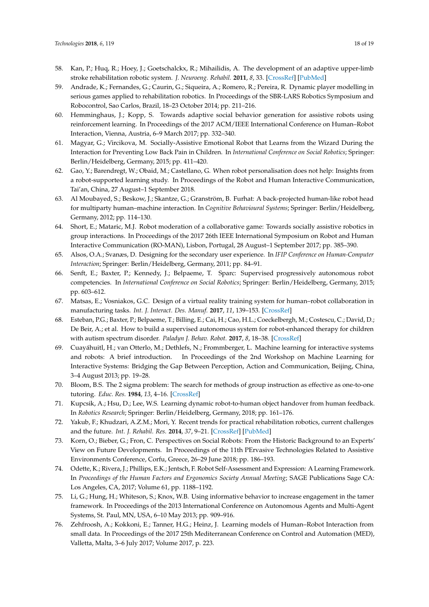- <span id="page-17-0"></span>58. Kan, P.; Huq, R.; Hoey, J.; Goetschalckx, R.; Mihailidis, A. The development of an adaptive upper-limb stroke rehabilitation robotic system. *J. Neuroeng. Rehabil.* **2011**, *8*, 33. [\[CrossRef\]](http://dx.doi.org/10.1186/1743-0003-8-33) [\[PubMed\]](http://www.ncbi.nlm.nih.gov/pubmed/21679457)
- <span id="page-17-1"></span>59. Andrade, K.; Fernandes, G.; Caurin, G.; Siqueira, A.; Romero, R.; Pereira, R. Dynamic player modelling in serious games applied to rehabilitation robotics. In Proceedings of the SBR-LARS Robotics Symposium and Robocontrol, Sao Carlos, Brazil, 18–23 October 2014; pp. 211–216.
- <span id="page-17-2"></span>60. Hemminghaus, J.; Kopp, S. Towards adaptive social behavior generation for assistive robots using reinforcement learning. In Proceedings of the 2017 ACM/IEEE International Conference on Human–Robot Interaction, Vienna, Austria, 6–9 March 2017; pp. 332–340.
- <span id="page-17-3"></span>61. Magyar, G.; Vircikova, M. Socially-Assistive Emotional Robot that Learns from the Wizard During the Interaction for Preventing Low Back Pain in Children. In *International Conference on Social Robotics*; Springer: Berlin/Heidelberg, Germany, 2015; pp. 411–420.
- <span id="page-17-4"></span>62. Gao, Y.; Barendregt, W.; Obaid, M.; Castellano, G. When robot personalisation does not help: Insights from a robot-supported learning study. In Proceedings of the Robot and Human Interactive Communication, Tai'an, China, 27 August–1 September 2018.
- <span id="page-17-5"></span>63. Al Moubayed, S.; Beskow, J.; Skantze, G.; Granström, B. Furhat: A back-projected human-like robot head for multiparty human–machine interaction. In *Cognitive Behavioural Systems*; Springer: Berlin/Heidelberg, Germany, 2012; pp. 114–130.
- <span id="page-17-6"></span>64. Short, E.; Mataric, M.J. Robot moderation of a collaborative game: Towards socially assistive robotics in group interactions. In Proceedings of the 2017 26th IEEE International Symposium on Robot and Human Interactive Communication (RO-MAN), Lisbon, Portugal, 28 August–1 September 2017; pp. 385–390.
- <span id="page-17-7"></span>65. Alsos, O.A.; Svanæs, D. Designing for the secondary user experience. In *IFIP Conference on Human-Computer Interaction*; Springer: Berlin/Heidelberg, Germany, 2011; pp. 84–91.
- <span id="page-17-8"></span>66. Senft, E.; Baxter, P.; Kennedy, J.; Belpaeme, T. Sparc: Supervised progressively autonomous robot competencies. In *International Conference on Social Robotics*; Springer: Berlin/Heidelberg, Germany, 2015; pp. 603–612.
- <span id="page-17-9"></span>67. Matsas, E.; Vosniakos, G.C. Design of a virtual reality training system for human–robot collaboration in manufacturing tasks. *Int. J. Interact. Des. Manuf.* **2017**, *11*, 139–153. [\[CrossRef\]](http://dx.doi.org/10.1007/s12008-015-0259-2)
- <span id="page-17-10"></span>68. Esteban, P.G.; Baxter, P.; Belpaeme, T.; Billing, E.; Cai, H.; Cao, H.L.; Coeckelbergh, M.; Costescu, C.; David, D.; De Beir, A.; et al. How to build a supervised autonomous system for robot-enhanced therapy for children with autism spectrum disorder. *Paladyn J. Behav. Robot.* **2017**, *8*, 18–38. [\[CrossRef\]](http://dx.doi.org/10.1515/pjbr-2017-0002)
- <span id="page-17-11"></span>69. Cuayáhuitl, H.; van Otterlo, M.; Dethlefs, N.; Frommberger, L. Machine learning for interactive systems and robots: A brief introduction. In Proceedings of the 2nd Workshop on Machine Learning for Interactive Systems: Bridging the Gap Between Perception, Action and Communication, Beijing, China, 3–4 August 2013; pp. 19–28.
- <span id="page-17-12"></span>70. Bloom, B.S. The 2 sigma problem: The search for methods of group instruction as effective as one-to-one tutoring. *Educ. Res.* **1984**, *13*, 4–16. [\[CrossRef\]](http://dx.doi.org/10.3102/0013189X013006004)
- <span id="page-17-13"></span>71. Kupcsik, A.; Hsu, D.; Lee, W.S. Learning dynamic robot-to-human object handover from human feedback. In *Robotics Research*; Springer: Berlin/Heidelberg, Germany, 2018; pp. 161–176.
- <span id="page-17-14"></span>72. Yakub, F.; Khudzari, A.Z.M.; Mori, Y. Recent trends for practical rehabilitation robotics, current challenges and the future. *Int. J. Rehabil. Res.* **2014**, *37*, 9–21. [\[CrossRef\]](http://dx.doi.org/10.1097/MRR.0000000000000035) [\[PubMed\]](http://www.ncbi.nlm.nih.gov/pubmed/24126254)
- <span id="page-17-15"></span>73. Korn, O.; Bieber, G.; Fron, C. Perspectives on Social Robots: From the Historic Background to an Experts' View on Future Developments. In Proceedings of the 11th PErvasive Technologies Related to Assistive Environments Conference, Corfu, Greece, 26–29 June 2018; pp. 186–193.
- <span id="page-17-16"></span>74. Odette, K.; Rivera, J.; Phillips, E.K.; Jentsch, F. Robot Self-Assessment and Expression: A Learning Framework. In *Proceedings of the Human Factors and Ergonomics Society Annual Meeting*; SAGE Publications Sage CA: Los Angeles, CA, 2017; Volume 61, pp. 1188–1192.
- <span id="page-17-17"></span>75. Li, G.; Hung, H.; Whiteson, S.; Knox, W.B. Using informative behavior to increase engagement in the tamer framework. In Proceedings of the 2013 International Conference on Autonomous Agents and Multi-Agent Systems, St. Paul, MN, USA, 6–10 May 2013; pp. 909–916.
- <span id="page-17-18"></span>76. Zehfroosh, A.; Kokkoni, E.; Tanner, H.G.; Heinz, J. Learning models of Human–Robot Interaction from small data. In Proceedings of the 2017 25th Mediterranean Conference on Control and Automation (MED), Valletta, Malta, 3–6 July 2017; Volume 2017, p. 223.